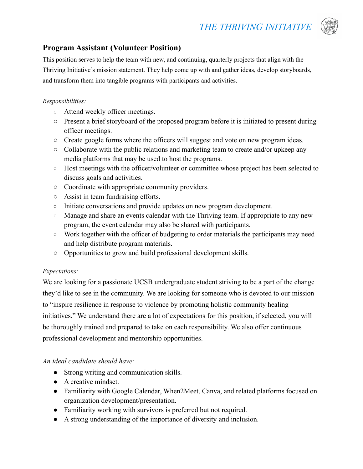

# **Program Assistant (Volunteer Position)**

This position serves to help the team with new, and continuing, quarterly projects that align with the Thriving Initiative's mission statement. They help come up with and gather ideas, develop storyboards, and transform them into tangible programs with participants and activities.

### *Responsibilities:*

- **○** Attend weekly officer meetings.
- **○** Present a brief storyboard of the proposed program before it is initiated to present during officer meetings.
- **○** Create google forms where the officers will suggest and vote on new program ideas.
- **○** Collaborate with the public relations and marketing team to create and/or upkeep any media platforms that may be used to host the programs.
- Host meetings with the officer/volunteer or committee whose project has been selected to discuss goals and activities.
- **○** Coordinate with appropriate community providers.
- **○** Assist in team fundraising efforts.
- **○** Initiate conversations and provide updates on new program development.
- **○** Manage and share an events calendar with the Thriving team. If appropriate to any new program, the event calendar may also be shared with participants.
- **○** Work together with the officer of budgeting to order materials the participants may need and help distribute program materials.
- **○** Opportunities to grow and build professional development skills.

### *Expectations:*

We are looking for a passionate UCSB undergraduate student striving to be a part of the change they'd like to see in the community. We are looking for someone who is devoted to our mission to "inspire resilience in response to violence by promoting holistic community healing initiatives." We understand there are a lot of expectations for this position, if selected, you will be thoroughly trained and prepared to take on each responsibility. We also offer continuous professional development and mentorship opportunities.

## *An ideal candidate should have:*

- Strong writing and communication skills.
- A creative mindset.
- Familiarity with Google Calendar, When2Meet, Canva, and related platforms focused on organization development/presentation.
- Familiarity working with survivors is preferred but not required.
- A strong understanding of the importance of diversity and inclusion.